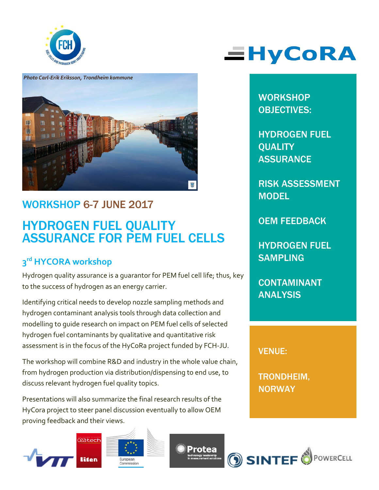



## WORKSHOP 6-7 JUNE 2017

## HYDROGEN FUEL QUALITY ASSURANCE FOR PEM FUEL CELLS

### **3rd HYCORA workshop**

Hydrogen quality assurance is a guarantor for PEM fuel cell life; thus, key to the success of hydrogen as an energy carrier.

Identifying critical needs to develop nozzle sampling methods and hydrogen contaminant analysis tools through data collection and modelling to guide research on impact on PEM fuel cells of selected hydrogen fuel contaminants by qualitative and quantitative risk assessment is in the focus of the HyCoRa project funded by FCH-JU.

The workshop will combine R&D and industry in the whole value chain, from hydrogen production via distribution/dispensing to end use, to discuss relevant hydrogen fuel quality topics.

Presentations will also summarize the final research results of the HyCora project to steer panel discussion eventually to allow OEM proving feedback and their views.







# **EHyCoRA**

**WORKSHOP** OBJECTIVES:

HYDROGEN FUEL **QUALITY ASSURANCE** 

RISK ASSESSMENT **MODEL** 

OEM FEEDBACK

HYDROGEN FUEL **SAMPLING** 

CONTAMINANT ANALYSIS

VENUE:

TRONDHEIM, **NORWAY** 

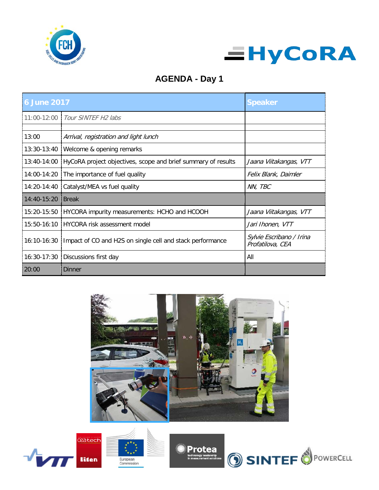



#### **AGENDA - Day 1**

| <b>6 June 2017</b> |                                                               | <b>Speaker</b>                               |
|--------------------|---------------------------------------------------------------|----------------------------------------------|
|                    | 11:00-12:00   Tour SINTEF H2 labs                             |                                              |
| 13:00              | Arrival, registration and light lunch                         |                                              |
|                    | 13:30-13:40   Welcome & opening remarks                       |                                              |
| 13:40-14:00        | HyCoRA project objectives, scope and brief summary of results | Jaana Viitakangas, VTT                       |
| 14:00-14:20        | The importance of fuel quality                                | Felix Blank, Daimler                         |
| 14:20-14:40        | Catalyst/MEA vs fuel quality                                  | NN, TBC                                      |
| $14:40-15:20$      | <b>Break</b>                                                  |                                              |
| 15:20-15:50        | HYCORA impurity measurements: HCHO and HCOOH                  | Jaana Viitakangas, VTT                       |
| $15:50-16:10$      | HYCORA risk assessment model                                  | Jari Ihonen, VTT                             |
| $16:10-16:30$      | Impact of CO and H2S on single cell and stack performance     | Sylvie Escribano / Irina<br>Profatilova, CEA |
| 16:30-17:30        | Discussions first day                                         | All                                          |
| 20:00              | Dinner                                                        |                                              |